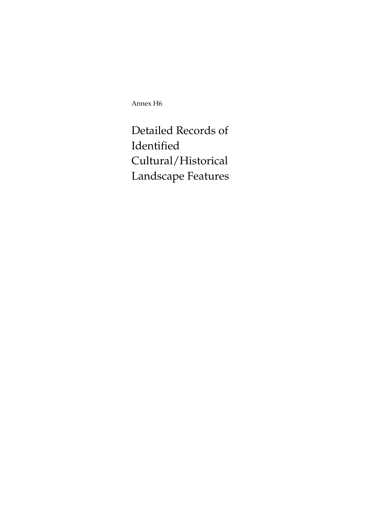Annex H6

Detailed Records of Identified Cultural/Historical Landscape Features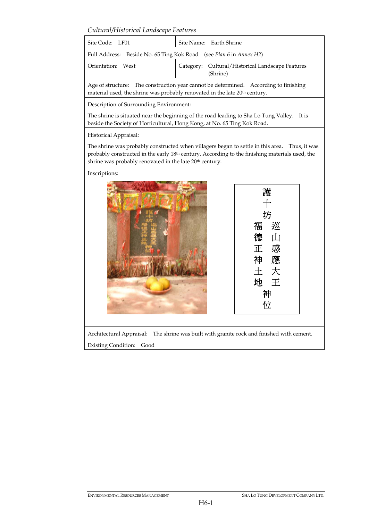*Cultural/Historical Landscape Features* 

| Site Code: LF01                                                    | Site Name: Earth Shrine                                      |  |  |
|--------------------------------------------------------------------|--------------------------------------------------------------|--|--|
| Full Address: Beside No. 65 Ting Kok Road (see Plan 6 in Annex H2) |                                                              |  |  |
| Orientation: West                                                  | Category: Cultural/Historical Landscape Features<br>(Shrine) |  |  |
|                                                                    |                                                              |  |  |

Age of structure: The construction year cannot be determined. According to finishing material used, the shrine was probably renovated in the late 20<sup>th</sup> century.

Description of Surrounding Environment:

The shrine is situated near the beginning of the road leading to Sha Lo Tung Valley. It is beside the Society of Horticultural, Hong Kong, at No. 65 Ting Kok Road.

Historical Appraisal:

The shrine was probably constructed when villagers began to settle in this area. Thus, it was probably constructed in the early 18th century. According to the finishing materials used, the shrine was probably renovated in the late 20<sup>th</sup> century.

Inscriptions:



Architectural Appraisal: The shrine was built with granite rock and finished with cement.

Existing Condition: Good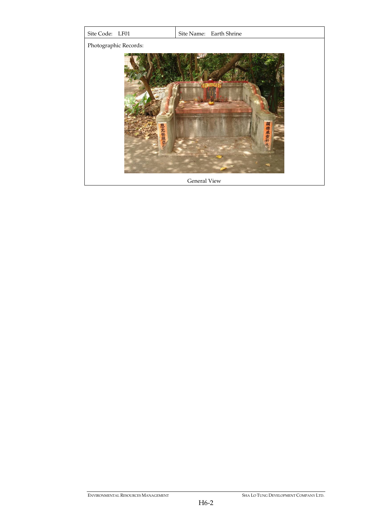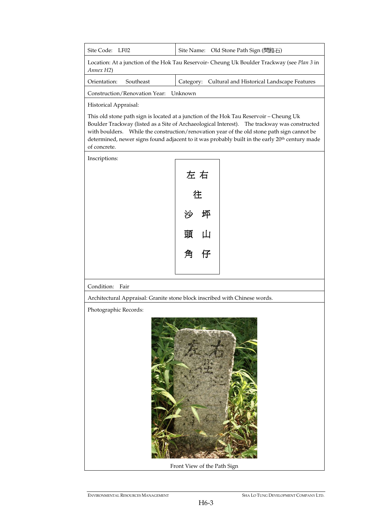| Site Code: LF02                                                                                          |  | Site Name: Old Stone Path Sign (間路石)                 |  |
|----------------------------------------------------------------------------------------------------------|--|------------------------------------------------------|--|
| Location: At a junction of the Hok Tau Reservoir- Cheung Uk Boulder Trackway (see Plan 3 in<br>Annex H2) |  |                                                      |  |
| Orientation:<br>Southeast                                                                                |  | Category: Cultural and Historical Landscape Features |  |
| Construction/Renovation Year: Unknown                                                                    |  |                                                      |  |
|                                                                                                          |  |                                                      |  |

Historical Appraisal:

This old stone path sign is located at a junction of the Hok Tau Reservoir – Cheung Uk Boulder Trackway (listed as a Site of Archaeological Interest). The trackway was constructed with boulders. While the construction/renovation year of the old stone path sign cannot be determined, newer signs found adjacent to it was probably built in the early 20<sup>th</sup> century made of concrete.

Inscriptions:

|   | 左 右 |  |
|---|-----|--|
| 往 |     |  |
| 沙 | 坪   |  |
| 頭 | Щ   |  |
| 角 | 仔   |  |
|   |     |  |

Condition: Fair

Architectural Appraisal: Granite stone block inscribed with Chinese words.

Photographic Records:



Front View of the Path Sign